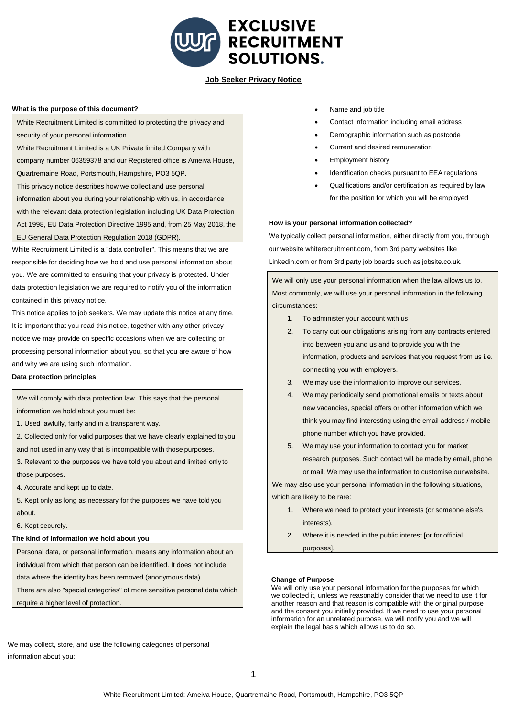

# **Job Seeker Privacy Notice**

## **What is the purpose of this document?**

White Recruitment Limited is committed to protecting the privacy and security of your personal information.

White Recruitment Limited is a UK Private limited Company with company number 06359378 and our Registered office is Ameiva House, Quartremaine Road, Portsmouth, Hampshire, PO3 5QP. This privacy notice describes how we collect and use personal

information about you during your relationship with us, in accordance with the relevant data protection legislation including UK Data Protection Act 1998, EU Data Protection Directive 1995 and, from 25 May 2018, the EU General Data Protection Regulation 2018 (GDPR).

White Recruitment Limited is a "data controller". This means that we are responsible for deciding how we hold and use personal information about you. We are committed to ensuring that your privacy is protected. Under data protection legislation we are required to notify you of the information contained in this privacy notice.

This notice applies to job seekers. We may update this notice at any time. It is important that you read this notice, together with any other privacy notice we may provide on specific occasions when we are collecting or processing personal information about you, so that you are aware of how and why we are using such information.

## **Data protection principles**

We will comply with data protection law. This says that the personal information we hold about you must be:

- 1. Used lawfully, fairly and in a transparent way.
- 2. Collected only for valid purposes that we have clearly explained toyou
- and not used in any way that is incompatible with those purposes.
- 3. Relevant to the purposes we have told you about and limited onlyto those purposes.
- 4. Accurate and kept up to date.
- 5. Kept only as long as necessary for the purposes we have toldyou about.

6. Kept securely.

# **The kind of information we hold about you**

data where the identity has been removed (anonymous data). Personal data, or personal information, means any information about an individual from which that person can be identified. It does not include

There are also "special categories" of more sensitive personal data which

require a higher level of protection.

- Name and job title
- Contact information including email address
- Demographic information such as postcode
- Current and desired remuneration
- Employment history
- Identification checks pursuant to EEA regulations
- Qualifications and/or certification as required by law for the position for which you will be employed

## **How is your personal information collected?**

We typically collect personal information, either directly from you, through our website whiterecruitment.com, from 3rd party websites like Linkedin.com or from 3rd party job boards such as jobsite.co.uk.

Most commonly, we will use your personal information in the following We will only use your personal information when the law allows us to. circumstances:

- 1. To administer your account with us
- 2. To carry out our obligations arising from any contracts entered into between you and us and to provide you with the information, products and services that you request from us i.e. connecting you with employers.
- 3. We may use the information to improve our services.
- 4. We may periodically send promotional emails or texts about new vacancies, special offers or other information which we think you may find interesting using the email address / mobile phone number which you have provided.
- 5. We may use your information to contact you for market research purposes. Such contact will be made by email, phone or mail. We may use the information to customise our website.

We may also use your personal information in the following situations, which are likely to be rare:

- 1. Where we need to protect your interests (or someone else's interests).
- 2. Where it is needed in the public interest [or for official purposes].

## **Change of Purpose**

We will only use your personal information for the purposes for which we collected it, unless we reasonably consider that we need to use it for another reason and that reason is compatible with the original purpose and the consent you initially provided. If we need to use your personal information for an unrelated purpose, we will notify you and we will explain the legal basis which allows us to do so.

We may collect, store, and use the following categories of personal information about you: